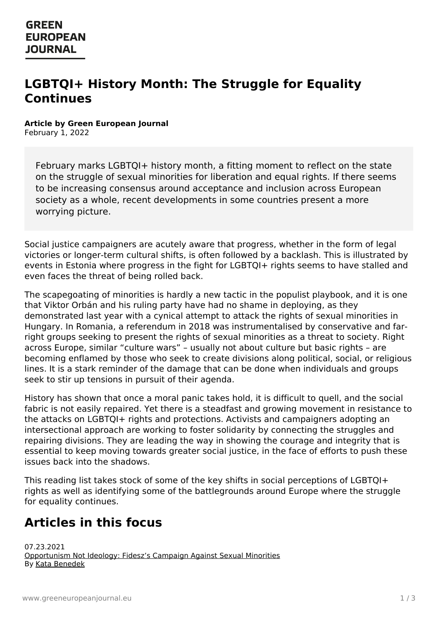# **LGBTQI+ History Month: The Struggle for Equality Continues**

#### **Article by Green European Journal**

February 1, 2022

February marks LGBTQI+ history month, a fitting moment to reflect on the state on the struggle of sexual minorities for liberation and equal rights. If there seems to be increasing consensus around acceptance and inclusion across European society as a whole, recent developments in some countries present a more worrying picture.

Social justice campaigners are acutely aware that progress, whether in the form of legal victories or longer-term cultural shifts, is often followed by a backlash. This is illustrated by events in Estonia where progress in the fight for LGBTQI+ rights seems to have stalled and even faces the threat of being rolled back.

The scapegoating of minorities is hardly a new tactic in the populist playbook, and it is one that Viktor Orbán and his ruling party have had no shame in deploying, as they demonstrated last year with a cynical attempt to attack the rights of sexual minorities in Hungary. In Romania, a referendum in 2018 was instrumentalised by conservative and farright groups seeking to present the rights of sexual minorities as a threat to society. Right across Europe, similar "culture wars" – usually not about culture but basic rights – are becoming enflamed by those who seek to create divisions along political, social, or religious lines. It is a stark reminder of the damage that can be done when individuals and groups seek to stir up tensions in pursuit of their agenda.

History has shown that once a moral panic takes hold, it is difficult to quell, and the social fabric is not easily repaired. Yet there is a steadfast and growing movement in resistance to the attacks on LGBTQI+ rights and protections. Activists and campaigners adopting an intersectional approach are working to foster solidarity by connecting the struggles and repairing divisions. They are leading the way in showing the courage and integrity that is essential to keep moving towards greater social justice, in the face of efforts to push these issues back into the shadows.

This reading list takes stock of some of the key shifts in social perceptions of LGBTQI+ rights as well as identifying some of the battlegrounds around Europe where the struggle for equality continues.

# **[Articles](https://www.greeneuropeanjournal.eu) in this focus**

07.23.2021 [Opportunism](https://www.greeneuropeanjournal.eu/opportunism-not-ideology-fideszs-campaign-against-sexual-minorities/) Not Ideology: Fidesz's Campaign Against Sexual Minorities By Kata [Benedek](https://www.greeneuropeanjournal.eu/article-author/kata-benedek/)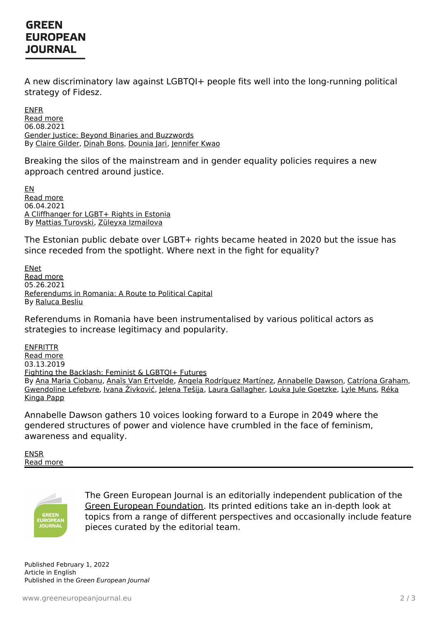#### **GREEN EUROPEAN JOURNAL**

A new discriminatory law against LGBTQI+ people fits well into the long-running political strategy of Fidesz.

[EN](https://www.greeneuropeanjournal.eu/opportunism-not-ideology-fideszs-campaign-against-sexual-minorities/)[FR](https://www.greeneuropeanjournal.eu/lopportunisme-et-non-lideologie-la-campagne-du-fidesz-contre-les-minorites-sexuelles/) Read [more](https://www.greeneuropeanjournal.eu/opportunism-not-ideology-fideszs-campaign-against-sexual-minorities/) 06.08.2021 Gender Justice: Beyond Binaries and [Buzzwords](https://www.greeneuropeanjournal.eu/gender-justice-beyond-binaries-and-buzzwords/) By Claire [Gilder](https://www.greeneuropeanjournal.eu/article-author/claire-gilder/), [Dinah](https://www.greeneuropeanjournal.eu/article-author/dinah-bons/) Bons, [Dounia](https://www.greeneuropeanjournal.eu/article-author/dounia-jari/) Jari, [Jennifer](https://www.greeneuropeanjournal.eu/article-author/jennifer-kwao/) Kwao

Breaking the silos of the mainstream and in gender equality policies requires a new approach centred around justice.

[EN](https://www.greeneuropeanjournal.eu/gender-justice-beyond-binaries-and-buzzwords/) Read [more](https://www.greeneuropeanjournal.eu/gender-justice-beyond-binaries-and-buzzwords/) 06.04.2021 A [Cliffhanger](https://www.greeneuropeanjournal.eu/a-cliffhanger-for-lgbt-rights-in-estonia/) for LGBT+ Rights in Estonia By Mattias [Turovski](https://www.greeneuropeanjournal.eu/article-author/mattias-turovski/), Züleyxa [Izmailova](https://www.greeneuropeanjournal.eu/article-author/zuleyxa-izmailova/)

The Estonian public debate over LGBT+ rights became heated in 2020 but the issue has since receded from the spotlight. Where next in the fight for equality?

[EN](https://www.greeneuropeanjournal.eu/a-cliffhanger-for-lgbt-rights-in-estonia/)[et](https://www.greeneuropeanjournal.eu/lgbt-oigused-eestis-haaletada-voi-mitte/) Read [more](https://www.greeneuropeanjournal.eu/a-cliffhanger-for-lgbt-rights-in-estonia/) 05.26.2021 [Referendums](https://www.greeneuropeanjournal.eu/referendums-in-romania-a-route-to-political-capital/) in Romania: A Route to Political Capital By [Raluca](https://www.greeneuropeanjournal.eu/article-author/raluca-besliu/) Besliu

Referendums in Romania have been instrumentalised by various political actors as strategies to increase legitimacy and popularity.

**[EN](https://www.greeneuropeanjournal.eu/referendums-in-romania-a-route-to-political-capital/)[FR](https://www.greeneuropeanjournal.eu/referendums-en-roumanie%25e2%2580%25af-une-voie-vers-le-capital-politique/)[IT](https://www.greeneuropeanjournal.eu/i-referendum-in-romania-un-mezzo-per-la-politica/)[TR](https://www.greeneuropeanjournal.eu/romanyada-referandumlar-siyasi-sermayeye-giden-yol/)** Read [more](https://www.greeneuropeanjournal.eu/referendums-in-romania-a-route-to-political-capital/) 03.13.2019 Fighting the [Backlash:](https://www.greeneuropeanjournal.eu/fighting-the-backlash-feminist-lgbtqi-futures/) Feminist & LGBTQI+ Futures By Ana Maria [Ciobanu](https://www.greeneuropeanjournal.eu/article-author/ana-maria-ciobanu/), Anaïs Van [Ertvelde](https://www.greeneuropeanjournal.eu/article-author/anais-van-ertvelde/), Ángela [Rodríguez](https://www.greeneuropeanjournal.eu/article-author/angela-rodriguez-martinez/) Martínez, [Annabelle](https://www.greeneuropeanjournal.eu/article-author/annabelle-dawson/) Dawson, [Catríona](https://www.greeneuropeanjournal.eu/article-author/catriona-graham/) Graham, [Gwendoline](https://www.greeneuropeanjournal.eu/article-author/reka-kinga-papp/) Lefebvre, Ivana [Živković](https://www.greeneuropeanjournal.eu/article-author/ivana-zivkovic/), [Jelena](https://www.greeneuropeanjournal.eu/article-author/jelena-tesija/) Tešija, Laura [Gallagher](https://www.greeneuropeanjournal.eu/article-author/laura-gallagher/), Louka Jule [Goetzke](https://www.greeneuropeanjournal.eu/article-author/louka-jule-goetzke/), Lyle [Muns,](https://www.greeneuropeanjournal.eu/article-author/lyle-muns/) Réka Kinga Papp

Annabelle Dawson gathers 10 voices looking forward to a Europe in 2049 where the gendered structures of power and violence have crumbled in the face of feminism, awareness and equality.

[EN](https://www.greeneuropeanjournal.eu/fighting-the-backlash-feminist-lgbtqi-futures/)[SR](https://www.greeneuropeanjournal.eu/borba-protiv-netrpeljivosti-buducnost-feminizma-i-lgbtiqi-zajednice/) Read [more](https://www.greeneuropeanjournal.eu/fighting-the-backlash-feminist-lgbtqi-futures/)



The Green European Journal is an editorially independent publication of the Green European [Foundation](http://www.gef.eu). Its printed editions take an in-depth look at [topics](https://www.greeneuropeanjournal.eu) from a range of different perspectives and occasionally include feature pieces curated by the editorial team.

Published February 1, 2022 Article in English Published in the Green European Journal